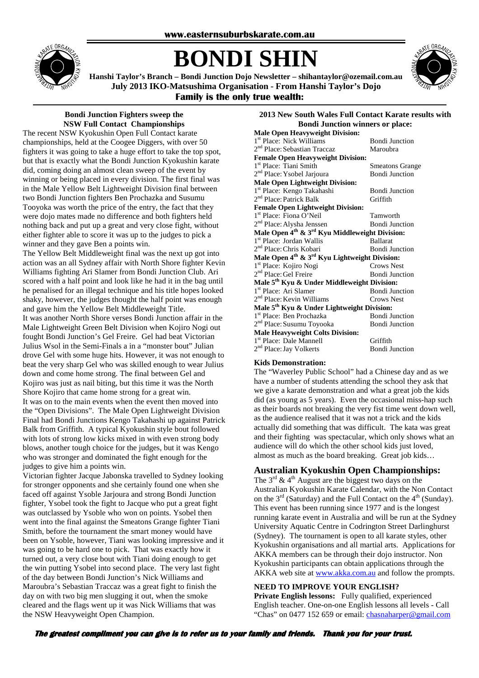

# **BONDI SHIN**



**Hanshi Taylor's Branch – Bondi Junction Dojo Newsletter – shihantaylor@ozemail.com.au July 2013 IKO-Matsushima Organisation - From Hanshi Taylor's Dojo Family is the only true wealth:** 

# **Bondi Junction Fighters sweep the NSW Full Contact Championships**

The recent NSW Kyokushin Open Full Contact karate championships, held at the Coogee Diggers, with over 50 fighters it was going to take a huge effort to take the top spot, but that is exactly what the Bondi Junction Kyokushin karate did, coming doing an almost clean sweep of the event by winning or being placed in every division. The first final was in the Male Yellow Belt Lightweight Division final between two Bondi Junction fighters Ben Prochazka and Susumu Tooyoka was worth the price of the entry, the fact that they were dojo mates made no difference and both fighters held nothing back and put up a great and very close fight, without either fighter able to score it was up to the judges to pick a winner and they gave Ben a points win.

The Yellow Belt Middleweight final was the next up got into action was an all Sydney affair with North Shore fighter Kevin Williams fighting Ari Slamer from Bondi Junction Club. Ari scored with a half point and look like he had it in the bag until he penalised for an illegal technique and his title hopes looked shaky, however, the judges thought the half point was enough and gave him the Yellow Belt Middleweight Title. It was another North Shore verses Bondi Junction affair in the Male Lightweight Green Belt Division when Kojiro Nogi out fought Bondi Junction's Gel Freire. Gel had beat Victorian Julius Wsol in the Semi-Finals a in a "monster bout" Julian drove Gel with some huge hits. However, it was not enough to beat the very sharp Gel who was skilled enough to wear Julius down and come home strong. The final between Gel and Kojiro was just as nail biting, but this time it was the North Shore Kojiro that came home strong for a great win. It was on to the main events when the event then moved into the "Open Divisions". The Male Open Lightweight Division Final had Bondi Junctions Kengo Takahashi up against Patrick Balk from Griffith. A typical Kyokushin style bout followed with lots of strong low kicks mixed in with even strong body blows, another tough choice for the judges, but it was Kengo who was stronger and dominated the fight enough for the judges to give him a points win.

Victorian fighter Jacque Jabonska travelled to Sydney looking for stronger opponents and she certainly found one when she faced off against Ysoble Jarjoura and strong Bondi Junction fighter, Ysobel took the fight to Jacque who put a great fight was outclassed by Ysoble who won on points. Ysobel then went into the final against the Smeatons Grange fighter Tiani Smith, before the tournament the smart money would have been on Ysoble, however, Tiani was looking impressive and it was going to be hard one to pick. That was exactly how it turned out, a very close bout with Tiani doing enough to get the win putting Ysobel into second place. The very last fight of the day between Bondi Junction's Nick Williams and Maroubra's Sebastian Traccaz was a great fight to finish the day on with two big men slugging it out, when the smoke cleared and the flags went up it was Nick Williams that was the NSW Heavyweight Open Champion.

# **2013 New South Wales Full Contact Karate results with Bondi Junction winners or place:**

| <b>Male Open Heavyweight Division:</b>                                 |                        |  |
|------------------------------------------------------------------------|------------------------|--|
| 1 <sup>st</sup> Place: Nick Williams                                   | <b>Bondi Junction</b>  |  |
| 2 <sup>nd</sup> Place: Sebastian Traccaz                               | Maroubra               |  |
| <b>Female Open Heavyweight Division:</b>                               |                        |  |
| 1 <sup>st</sup> Place: Tiani Smith                                     | <b>Smeatons Grange</b> |  |
| 2 <sup>nd</sup> Place: Ysobel Jarjoura                                 | <b>Bondi Junction</b>  |  |
| <b>Male Open Lightweight Division:</b>                                 |                        |  |
| 1 <sup>st</sup> Place: Kengo Takahashi                                 | <b>Bondi Junction</b>  |  |
| 2 <sup>nd</sup> Place: Patrick Balk                                    | Griffith               |  |
| <b>Female Open Lightweight Division:</b>                               |                        |  |
| 1 <sup>st</sup> Place: Fiona O'Neil                                    | Tamworth               |  |
| 2 <sup>nd</sup> Place: Alysha Jenssen                                  | <b>Bondi Junction</b>  |  |
| Male Open 4 <sup>th</sup> & 3 <sup>rd</sup> Kyu Middleweight Division: |                        |  |
| 1 <sup>st</sup> Place: Jordan Wallis                                   | <b>Ballarat</b>        |  |
| 2 <sup>nd</sup> Place: Chris Kobari                                    | <b>Bondi Junction</b>  |  |
| Male Open $4^{th}$ & $3^{rd}$ Kyu Lightweight Division:                |                        |  |
| 1 <sup>st</sup> Place: Kojiro Nogi                                     | <b>Crows Nest</b>      |  |
| 2 <sup>nd</sup> Place: Gel Freire                                      | <b>Bondi Junction</b>  |  |
| Male 5 <sup>th</sup> Kyu & Under Middleweight Division:                |                        |  |
| 1 <sup>st</sup> Place: Ari Slamer                                      | <b>Bondi Junction</b>  |  |
| 2 <sup>nd</sup> Place: Kevin Williams                                  | <b>Crows Nest</b>      |  |
| Male 5 <sup>th</sup> Kyu & Under Lightweight Division:                 |                        |  |
| 1 <sup>st</sup> Place: Ben Prochazka                                   | <b>Bondi Junction</b>  |  |
| 2 <sup>nd</sup> Place: Susumu Toyooka                                  | <b>Bondi Junction</b>  |  |
| <b>Male Heavyweight Colts Division:</b>                                |                        |  |
| 1 <sup>st</sup> Place: Dale Mannell                                    | Griffith               |  |
| 2 <sup>nd</sup> Place: Jay Volkerts                                    | <b>Bondi Junction</b>  |  |

# **Kids Demonstration:**

The "Waverley Public School" had a Chinese day and as we have a number of students attending the school they ask that we give a karate demonstration and what a great job the kids did (as young as 5 years). Even the occasional miss-hap such as their boards not breaking the very fist time went down well, as the audience realised that it was not a trick and the kids actually did something that was difficult. The kata was great and their fighting was spectacular, which only shows what an audience will do which the other school kids just loved, almost as much as the board breaking. Great job kids…

# **Australian Kyokushin Open Championships:**

The  $3^{rd}$  &  $4^{th}$  August are the biggest two days on the Australian Kyokushin Karate Calendar, with the Non Contact on the  $3<sup>rd</sup>$  (Saturday) and the Full Contact on the  $4<sup>th</sup>$  (Sunday). This event has been running since 1977 and is the longest running karate event in Australia and will be run at the Sydney University Aquatic Centre in Codrington Street Darlinghurst (Sydney). The tournament is open to all karate styles, other Kyokushin organisations and all martial arts. Applications for AKKA members can be through their dojo instructor. Non Kyokushin participants can obtain applications through the AKKA web site at www.akka.com.au and follow the prompts.

# **NEED TO IMPROVE YOUR ENGLISH?**

**Private English lessons:** Fully qualified, experienced English teacher. One-on-one English lessons all levels - Call "Chas" on 0477 152 659 or email: chasnaharper@gmail.com